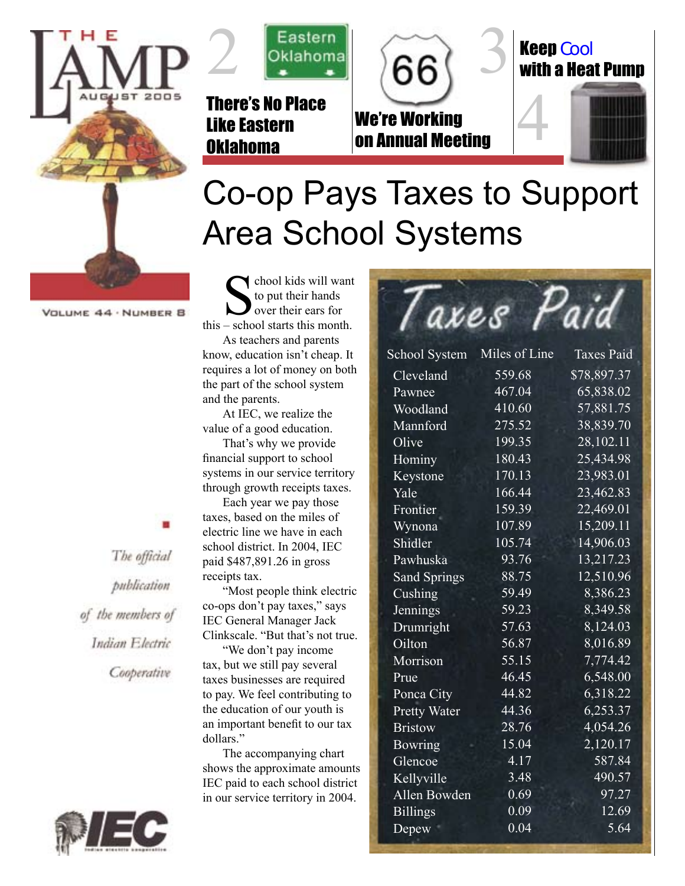



There's No Place Like Eastern Oklahoma



# on Annual Meeting



# Co-op Pays Taxes to Support Area School Systems

VOLUME 44 · NUMBER B

The official publication of the members of Indian Electric

Cooperative



School kids will want<br>this – school starts this month. to put their hands over their ears for

As teachers and parents know, education isn't cheap. It requires a lot of money on both the part of the school system and the parents.

At IEC, we realize the value of a good education.

That's why we provide financial support to school systems in our service territory through growth receipts taxes.

Each year we pay those taxes, based on the miles of electric line we have in each school district. In 2004, IEC paid \$487,891.26 in gross receipts tax.

"Most people think electric co-ops don't pay taxes," says IEC General Manager Jack Clinkscale. "But that's not true.

"We don't pay income tax, but we still pay several taxes businesses are required to pay. We feel contributing to the education of our youth is an important benefit to our tax dollars."

The accompanying chart shows the approximate amounts IEC paid to each school district in our service territory in 2004.

| axes                |               | aia               |
|---------------------|---------------|-------------------|
| School System       | Miles of Line | <b>Taxes Paid</b> |
| Cleveland           | 559.68        | \$78,897.37       |
| Pawnee              | 467.04        | 65,838.02         |
| Woodland            | 410.60        | 57,881.75         |
| Mannford            | 275.52        | 38,839.70         |
| Olive               | 199.35        | 28,102.11         |
| Hominy              | 180.43        | 25,434.98         |
| Keystone            | 170.13        | 23,983.01         |
| Yale                | 166.44        | 23,462.83         |
| Frontier            | 159.39        | 22,469.01         |
| Wynona              | 107.89        | 15,209.11         |
| Shidler             | 105.74        | 14,906.03         |
| Pawhuska            | 93.76         | 13,217.23         |
| <b>Sand Springs</b> | 88.75         | 12,510.96         |
| Cushing             | 59.49         | 8,386.23          |
| Jennings            | 59.23         | 8,349.58          |
| Drumright           | 57.63         | 8,124.03          |
| Oilton              | 56.87         | 8,016.89          |
| Morrison            | 55.15         | 7,774.42          |
| Prue                | 46.45         | 6,548.00          |
| Ponca City          | 44.82         | 6,318.22          |
| <b>Pretty Water</b> | 44.36         | 6,253.37          |
| <b>Bristow</b>      | 28.76         | 4,054.26          |
| <b>Bowring</b>      | 15.04         | 2,120.17          |
| Glencoe             | 4.17          | 587.84            |
| Kellyville          | 3.48          | 490.57            |
| Allen Bowden        | 0.69          | 97.27             |
| <b>Billings</b>     | 0.09          | 12.69             |
| Depew               | 0.04          | 5.64              |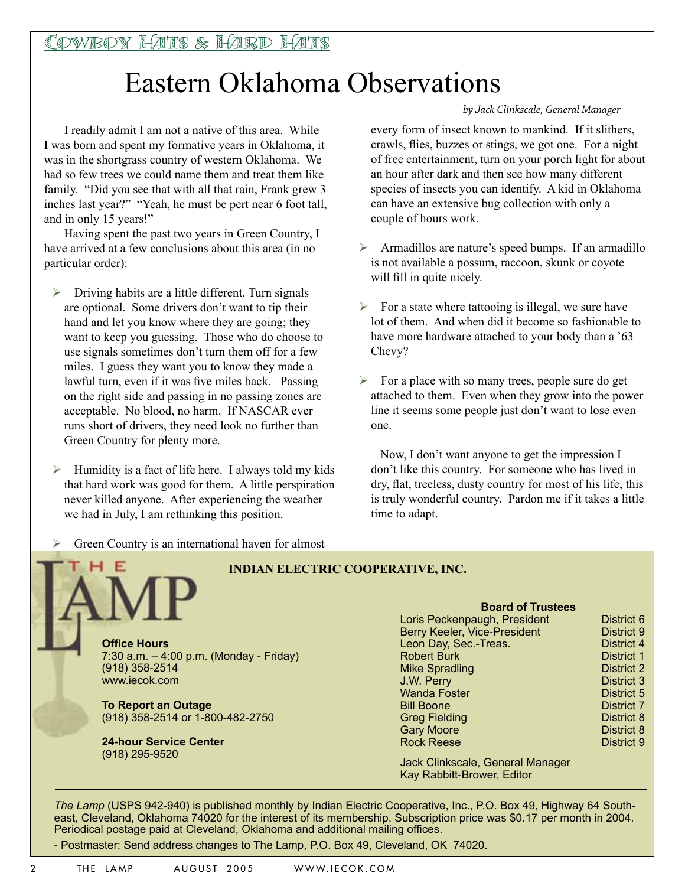### Eastern Oklahoma Observations

I readily admit I am not a native of this area. While I was born and spent my formative years in Oklahoma, it was in the shortgrass country of western Oklahoma. We had so few trees we could name them and treat them like family. "Did you see that with all that rain, Frank grew 3 inches last year?" "Yeah, he must be pert near 6 foot tall, and in only 15 years!"

Having spent the past two years in Green Country, I have arrived at a few conclusions about this area (in no particular order):

- $\triangleright$  Driving habits are a little different. Turn signals are optional. Some drivers don't want to tip their hand and let you know where they are going; they want to keep you guessing. Those who do choose to use signals sometimes don't turn them off for a few miles. I guess they want you to know they made a lawful turn, even if it was five miles back. Passing on the right side and passing in no passing zones are acceptable. No blood, no harm. If NASCAR ever runs short of drivers, they need look no further than Green Country for plenty more.
- Humidity is a fact of life here. I always told my kids that hard work was good for them. A little perspiration never killed anyone. After experiencing the weather we had in July, I am rethinking this position.

#### *by Jack Clinkscale, General Manager*

every form of insect known to mankind. If it slithers, crawls, flies, buzzes or stings, we got one. For a night of free entertainment, turn on your porch light for about an hour after dark and then see how many different species of insects you can identify. A kid in Oklahoma can have an extensive bug collection with only a couple of hours work.

- Armadillos are nature's speed bumps. If an armadillo is not available a possum, raccoon, skunk or coyote will fill in quite nicely.
- $\triangleright$  For a state where tattooing is illegal, we sure have lot of them. And when did it become so fashionable to have more hardware attached to your body than a '63 Chevy?
- $\triangleright$  For a place with so many trees, people sure do get attached to them. Even when they grow into the power line it seems some people just don't want to lose even one.

 Now, I don't want anyone to get the impression I don't like this country. For someone who has lived in dry, flat, treeless, dusty country for most of his life, this is truly wonderful country. Pardon me if it takes a little time to adapt.

Green Country is an international haven for almost



#### **INDIAN ELECTRIC COOPERATIVE, INC.**

7:30 a.m. – 4:00 p.m. (Monday - Friday)

**To Report an Outage** (918) 358-2514 or 1-800-482-2750

**24-hour Service Center**  (918) 295-9520

#### **Board of Trustees**

| Loris Peckenpaugh, President | District 6        |
|------------------------------|-------------------|
| Berry Keeler, Vice-President | District 9        |
| Leon Day, Sec.-Treas.        | District 4        |
| <b>Robert Burk</b>           | District 1        |
| <b>Mike Spradling</b>        | <b>District 2</b> |
| J.W. Perry                   | <b>District 3</b> |
| <b>Wanda Foster</b>          | District 5        |
| <b>Bill Boone</b>            | <b>District 7</b> |
| <b>Greg Fielding</b>         | <b>District 8</b> |
| <b>Gary Moore</b>            | <b>District 8</b> |
| <b>Rock Reese</b>            | District 9        |
|                              |                   |

Jack Clinkscale, General Manager Kay Rabbitt-Brower, Editor

*The Lamp* (USPS 942-940) is published monthly by Indian Electric Cooperative, Inc., P.O. Box 49, Highway 64 Southeast, Cleveland, Oklahoma 74020 for the interest of its membership. Subscription price was \$0.17 per month in 2004. Periodical postage paid at Cleveland, Oklahoma and additional mailing offices.

- Postmaster: Send address changes to The Lamp, P.O. Box 49, Cleveland, OK 74020.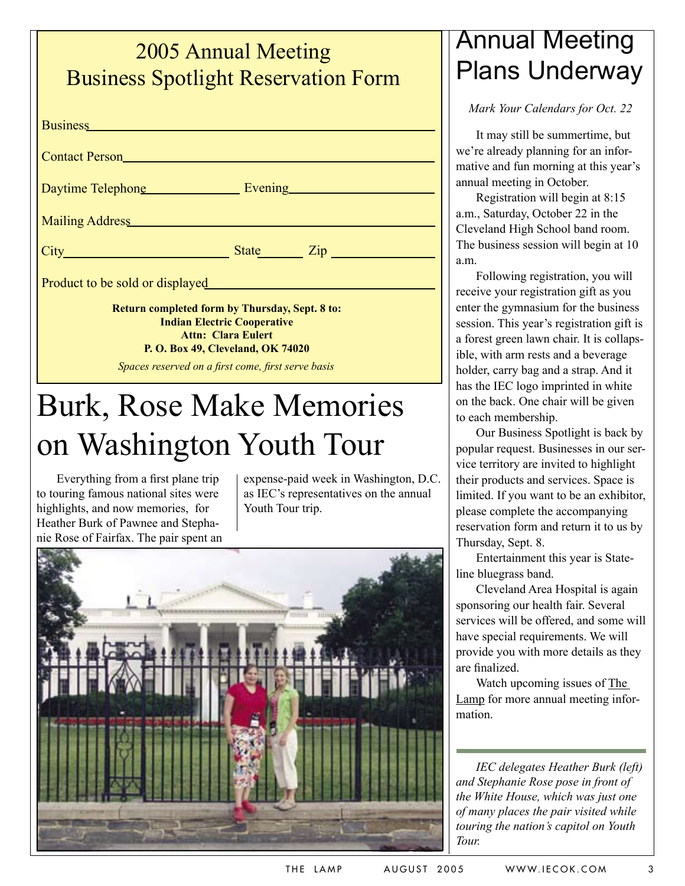#### 2005 Annual Meeting Business Spotlight Reservation Form

| <b>Business Executive Contract Contract Contract Contract Contract Contract Contract Contract Contract Contract Contract Contract Contract Contract Contract Contract Contract Contract Contract Contract Contract Contract Co</b>                       |           |  |  |
|----------------------------------------------------------------------------------------------------------------------------------------------------------------------------------------------------------------------------------------------------------|-----------|--|--|
| Contact Person <u>and the contact of the contact Person</u>                                                                                                                                                                                              |           |  |  |
| Daytime Telephone <b>Evening</b> Evening                                                                                                                                                                                                                 |           |  |  |
| Mailing Address Mailing Address                                                                                                                                                                                                                          |           |  |  |
| $City$ and $(x)$ and $(x)$ and $(x)$ and $(x)$ and $(x)$ and $(x)$ and $(x)$ and $(x)$ and $(x)$ and $(x)$ and $(x)$ and $(x)$ and $(x)$ and $(x)$ and $(x)$ and $(x)$ and $(x)$ and $(x)$ and $(x)$ and $(x)$ and $(x)$ and $(x)$ and $(x)$ and $(x)$ a | State Zip |  |  |
| Product to be sold or displayed                                                                                                                                                                                                                          |           |  |  |
| <b>Return completed form by Thursday, Sept. 8 to:</b><br><b>Indian Electric Cooperative</b><br><b>Attn: Clara Eulert</b><br>P. O. Box 49, Cleveland, OK 74020                                                                                            |           |  |  |
| Spaces reserved on a first come, first serve basis                                                                                                                                                                                                       |           |  |  |

## Burk, Rose Make Memories on Washington Youth Tour

Everything from a first plane trip to touring famous national sites were highlights, and now memories, for Heather Burk of Pawnee and Stephanie Rose of Fairfax. The pair spent an expense-paid week in Washington, D.C. as IEC's representatives on the annual Youth Tour trip.



### Annual Meeting Plans Underway

*Mark Your Calendars for Oct. 22*

It may still be summertime, but we're already planning for an informative and fun morning at this year's annual meeting in October.

Registration will begin at 8:15 a.m., Saturday, October 22 in the Cleveland High School band room. The business session will begin at 10 a.m.

Following registration, you will receive your registration gift as you enter the gymnasium for the business session. This year's registration gift is a forest green lawn chair. It is collapsible, with arm rests and a beverage holder, carry bag and a strap. And it has the IEC logo imprinted in white on the back. One chair will be given to each membership.

Our Business Spotlight is back by popular request. Businesses in our service territory are invited to highlight their products and services. Space is limited. If you want to be an exhibitor, please complete the accompanying reservation form and return it to us by Thursday, Sept. 8.

Entertainment this year is Stateline bluegrass band.

Cleveland Area Hospital is again sponsoring our health fair. Several services will be offered, and some will have special requirements. We will provide you with more details as they are finalized.

Watch upcoming issues of The Lamp for more annual meeting information.

*IEC delegates Heather Burk (left) and Stephanie Rose pose in front of the White House, which was just one of many places the pair visited while touring the nation's capitol on Youth Tour.*